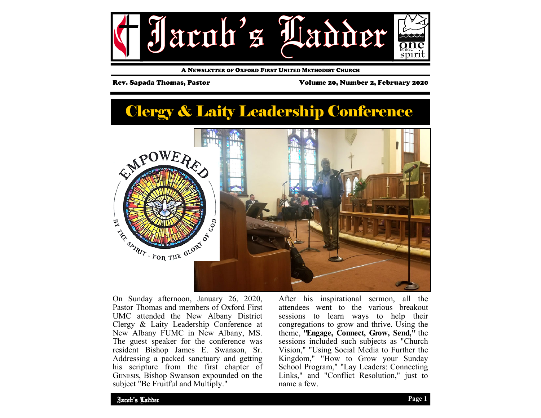

A NEWSLETTER OF OXFORD FIRST UNITED METHODIST CHURCH

Rev. Sapada Thomas, Pastor Volume 20, Number 2, February 2020

# Clergy & Laity Leadership Conference



On Sunday afternoon, January 26, 2020, Pastor Thomas and members of Oxford First UMC attended the New Albany District Clergy & Laity Leadership Conference at New Albany FUMC in New Albany, MS. The guest speaker for the conference was resident Bishop James E. Swanson, Sr. Addressing a packed sanctuary and getting his scripture from the first chapter of GENESIS, Bishop Swanson expounded on the subject "Be Fruitful and Multiply."

After his inspirational sermon, all the attendees went to the various breakout sessions to learn ways to help their congregations to grow and thrive. Using the theme, **"Engage, Connect, Grow, Send,"** the sessions included such subjects as "Church Vision," "Using Social Media to Further the Kingdom," "How to Grow your Sunday School Program," "Lay Leaders: Connecting Links," and "Conflict Resolution," just to name a few.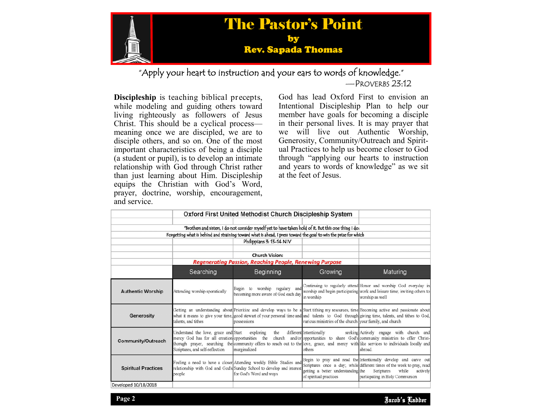

"Apply your heart to instruction and your ears to words of knowledge." —PROVERBS 23:12

**Discipleship** is teaching biblical precepts, while modeling and guiding others toward living righteously as followers of Jesus Christ. This should be a cyclical process meaning once we are discipled, we are to disciple others, and so on. One of the most important characteristics of being a disciple (a student or pupil), is to develop an intimate relationship with God through Christ rather than just learning about Him. Discipleship equips the Christian with God's Word, prayer, doctrine, worship, encouragement, and service.

God has lead Oxford First to envision an Intentional Discipleship Plan to help our member have goals for becoming a disciple in their personal lives. It is may prayer that we will live out Authentic Worship, Generosity, Community/Outreach and Spiritual Practices to help us become closer to God through "applying our hearts to instruction and years to words of knowledge" as we sit at the feet of Jesus.

|                                                                                                                  |                                                                                                                                       | Oxford First United Methodist Church Discipleship System                                                                                                               |                                                              |                                                                                                                                                                                                                                                                                         |
|------------------------------------------------------------------------------------------------------------------|---------------------------------------------------------------------------------------------------------------------------------------|------------------------------------------------------------------------------------------------------------------------------------------------------------------------|--------------------------------------------------------------|-----------------------------------------------------------------------------------------------------------------------------------------------------------------------------------------------------------------------------------------------------------------------------------------|
|                                                                                                                  |                                                                                                                                       | "Brothers and sisters, I do not consider myself yet to have taken hold of it. But this one thing I do:                                                                 |                                                              |                                                                                                                                                                                                                                                                                         |
| Forgetting what is behind and straining toward what is ahead, I press toward the goal to win the prize for which |                                                                                                                                       |                                                                                                                                                                        |                                                              |                                                                                                                                                                                                                                                                                         |
|                                                                                                                  |                                                                                                                                       | Philippians 3: 13-14 NIV                                                                                                                                               |                                                              |                                                                                                                                                                                                                                                                                         |
|                                                                                                                  |                                                                                                                                       | <b>Church Vision:</b>                                                                                                                                                  |                                                              |                                                                                                                                                                                                                                                                                         |
|                                                                                                                  | <b>Regenerating Passion, Reaching People, Renewing Purpose</b>                                                                        |                                                                                                                                                                        |                                                              |                                                                                                                                                                                                                                                                                         |
|                                                                                                                  | Searching                                                                                                                             | Beginning                                                                                                                                                              | Growing                                                      | Maturing                                                                                                                                                                                                                                                                                |
| <b>Authentic Worship</b>                                                                                         | Attending worship sporatically                                                                                                        | Begin to worship regulary and<br>becoming more aware of God each day                                                                                                   | in worship                                                   | Continuing to regularly attend Honor and worship God everyday in<br>worship and begin participating work and leisure time; inviting others to<br>worship as well                                                                                                                        |
| Generosity                                                                                                       | talents, and tithes                                                                                                                   | possessions                                                                                                                                                            | various ministries of the church your family, and church     | Getting an understanding about Prioritize and develop ways to be a Start tithing my resources, time Becoming active and passionate about<br>what it means to give your time, good stewart of your personal time and and talents to God through giving time, talents, and tithes to God, |
| <b>Community/Outreach</b>                                                                                        | Understand the love, grace and Start exploring<br>mercy God has for all creation opportunities the<br>Scriptures, and self-reflection | the<br>church<br>marginalized                                                                                                                                          | different Intentionally<br>others                            | seeking Actively engage with church and<br>and/or opportunities to share God's community ministries to offer Christ-<br>thorugh prayer, searching the community offers to reach out to the love, grace, and mercy with like services to individuals locally and<br>abroad.              |
| <b>Spiritual Practices</b>                                                                                       | people                                                                                                                                | Feeling a need to have a closer Attending weekly Bible Studies and<br>relationship with God and God's Sunday School to develop and interest<br>for God's Word and ways | getting a better understanding the<br>of spiritual practices | Begin to pray and read the Intentionally develop and carve out<br>Scriptures once a day; while different times of the week to pray, read<br>Scriptures<br>while<br>actively<br>particpating in Holy Communion                                                                           |
| Developed 10/18/2018                                                                                             |                                                                                                                                       |                                                                                                                                                                        |                                                              |                                                                                                                                                                                                                                                                                         |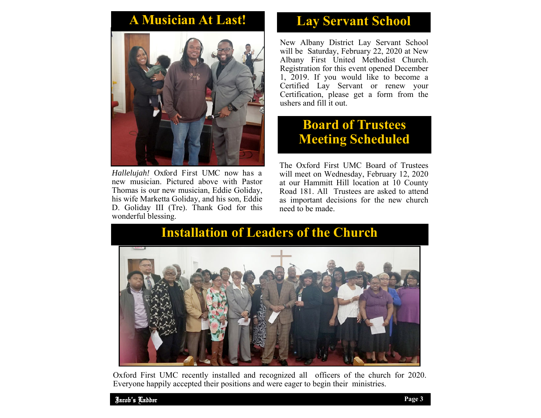## **A Musician At Last!**



*Hallelujah!* Oxford First UMC now has a new musician. Pictured above with Pastor Thomas is our new musician, Eddie Goliday, his wife Marketta Goliday, and his son, Eddie D. Goliday III (Tre). Thank God for this wonderful blessing.

## **Lay Servant School**

New Albany District Lay Servant School will be Saturday, February 22, 2020 at New Albany First United Methodist Church. Registration for this event opened December 1, 2019. If you would like to become a Certified Lay Servant or renew your Certification, please get a form from the ushers and fill it out.

### **Board of Trustees Meeting Scheduled**

The Oxford First UMC Board of Trustees will meet on Wednesday, February 12, 2020 at our Hammitt Hill location at 10 County Road 181. All Trustees are asked to attend as important decisions for the new church need to be made.

# **Installation of Leaders of the Church**



Oxford First UMC recently installed and recognized all officers of the church for 2020. Everyone happily accepted their positions and were eager to begin their ministries.